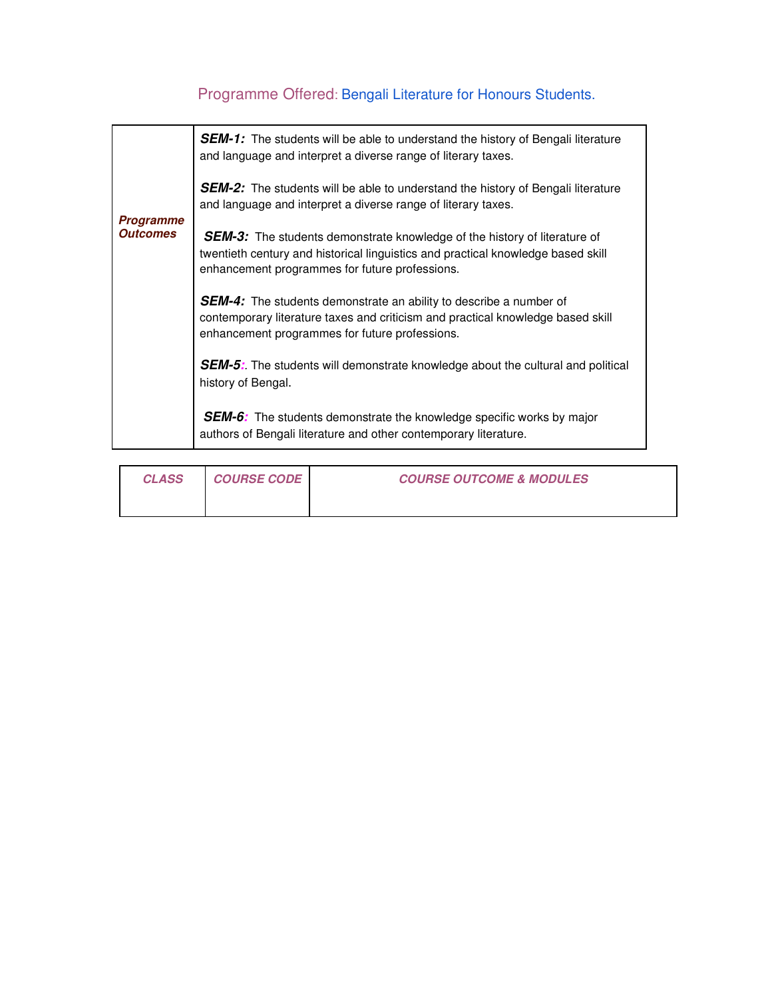## Programme Offered: Bengali Literature for Honours Students.

| <b>Programme</b><br><b>Outcomes</b> | <b>SEM-1:</b> The students will be able to understand the history of Bengali literature<br>and language and interpret a diverse range of literary taxes.                                                               |
|-------------------------------------|------------------------------------------------------------------------------------------------------------------------------------------------------------------------------------------------------------------------|
|                                     | <b>SEM-2:</b> The students will be able to understand the history of Bengali literature<br>and language and interpret a diverse range of literary taxes.                                                               |
|                                     | <b>SEM-3:</b> The students demonstrate knowledge of the history of literature of<br>twentieth century and historical linguistics and practical knowledge based skill<br>enhancement programmes for future professions. |
|                                     | <b>SEM-4:</b> The students demonstrate an ability to describe a number of<br>contemporary literature taxes and criticism and practical knowledge based skill<br>enhancement programmes for future professions.         |
|                                     | <b>SEM-5:</b> The students will demonstrate knowledge about the cultural and political<br>history of Bengal.                                                                                                           |
|                                     | <b>SEM-6:</b> The students demonstrate the knowledge specific works by major<br>authors of Bengali literature and other contemporary literature.                                                                       |

| <i><b>CLASS</b></i> | <b>COURSE CODE</b> | <b>COURSE OUTCOME &amp; MODULES</b> |
|---------------------|--------------------|-------------------------------------|
|                     |                    |                                     |